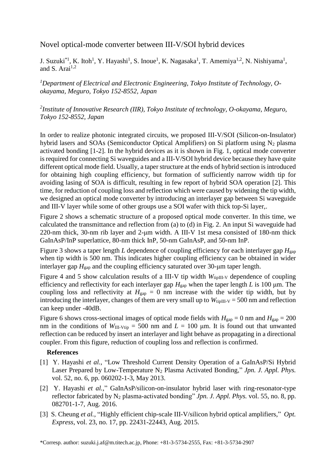## Novel optical-mode converter between III-V/SOI hybrid devices

J. Suzuki<sup>\*1</sup>, K. Itoh<sup>1</sup>, Y. Hayashi<sup>1</sup>, S. Inoue<sup>1</sup>, K. Nagasaka<sup>1</sup>, T. Amemiya<sup>1,2</sup>, N. Nishiyama<sup>1</sup>, and S. Arai $1,2$ 

*<sup>1</sup>Department of Electrical and Electronic Engineering, Tokyo Institute of Technology, Ookayama, Meguro, Tokyo 152-8552, Japan*

## *2 Institute of Innovative Research (IIR), Tokyo Institute of technology, O-okayama, Meguro, Tokyo 152-8552, Japan*

In order to realize photonic integrated circuits, we proposed III-V/SOI (Silicon-on-Insulator) hybrid lasers and SOAs (Semiconductor Optical Amplifiers) on Si platform using  $N_2$  plasma activated bonding [1-2]. In the hybrid devices as it is shown in Fig. 1, optical mode converter is required for connecting Si waveguides and a III-V/SOI hybrid device because they have quite different optical mode field. Usually, a taper structure at the ends of hybrid section is introduced for obtaining high coupling efficiency, but formation of sufficiently narrow width tip for avoiding lasing of SOA is difficult, resulting in few report of hybrid SOA operation [2]. This time, for reduction of coupling loss and reflection which were caused by widening the tip width, we designed an optical mode converter by introducing an interlayer gap between Si waveguide and III-V layer while some of other groups use a SOI wafer with thick top-Si layer,.

Figure 2 shows a schematic structure of a proposed optical mode converter. In this time, we calculated the transmittance and reflection from (a) to (d) in Fig. 2. An input Si waveguide had 220-nm thick, 30-nm rib layer and 2-μm width. A III-V 1st mesa consisted of 180-nm thick GaInAsP/InP superlattice, 80-nm thick InP, 50-nm GaInAsP, and 50-nm InP.

Figure 3 shows a taper length *L* dependence of coupling efficiency for each interlayer gap  $H_{\text{gan}}$ when tip width is 500 nm. This indicates higher coupling efficiency can be obtained in wider interlayer gap  $H_{\text{gap}}$  and the coupling efficiency saturated over 30-µm taper length.

Figure 4 and 5 show calculation results of a III-V tip width  $W_{\text{tipIII-V}}$  dependence of coupling efficiency and reflectivity for each interlayer gap *H*gap when the taper length *L* is 100 μm. The coupling loss and reflectivity at  $H_{\text{gap}} = 0$  nm increase with the wider tip width, but by introducing the interlayer, changes of them are very small up to  $W_{\text{tipIII-V}} = 500 \text{ nm}$  and reflection can keep under -40dB.

Figure 6 shows cross-sectional images of optical mode fields with  $H_{\text{gap}} = 0$  nm and  $H_{\text{gap}} = 200$ nm in the conditions of  $W_{III-<sub>Ytip</sub>}$  = 500 nm and  $L = 100$  µm. It is found out that unwanted reflection can be reduced by insert an interlayer and light behave as propagating in a directional coupler. From this figure, reduction of coupling loss and reflection is confirmed.

## **References**

- [1] Y. Hayashi *et al.*, "Low Threshold Current Density Operation of a GaInAsP/Si Hybrid Laser Prepared by Low-Temperature N<sub>2</sub> Plasma Activated Bonding," *Jpn. J. Appl. Phys.* vol. 52, no. 6, pp. 060202-1-3, May 2013.
- [2] Y. Hayashi *et al.*," GaInAsP/silicon-on-insulator hybrid laser with ring-resonator-type reflector fabricated by N<sub>2</sub> plasma-activated bonding" *Jpn. J. Appl. Phys.* vol. 55, no. 8, pp. 082701-1-7, Aug. 2016.
- [3] S. Cheung *et al.*, "Highly efficient chip-scale III-V/silicon hybrid optical amplifiers," *Opt. Express*, vol. 23, no. 17, pp. 22431-22443, Aug. 2015.